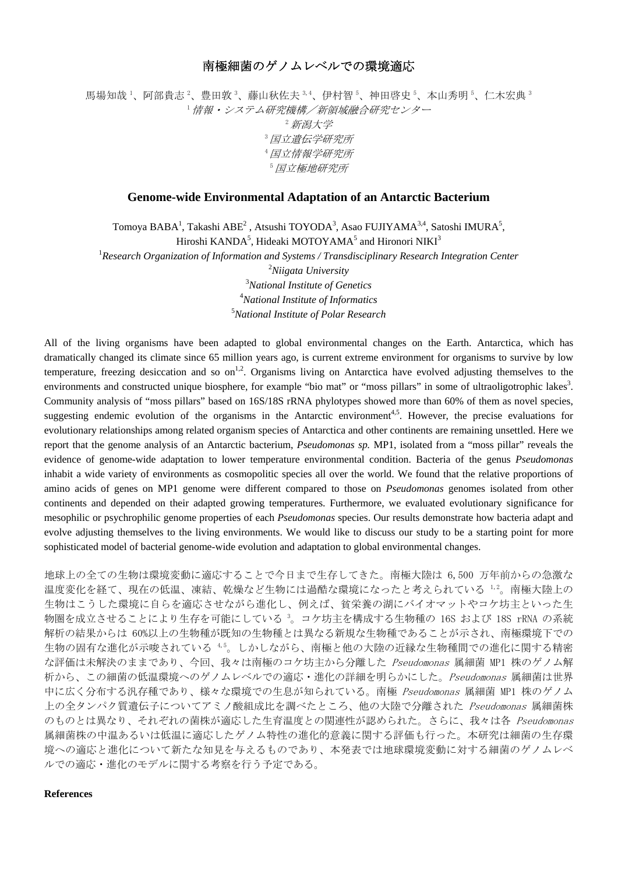## 南極細菌のゲノムレベルでの環境適応

馬場知哉 '、阿部貴志 '、豊田敦 <sup>3</sup>、藤山秋佐夫 <sup>3,4</sup>、伊村智 <sup>5</sup>、神田啓史 <sup>5</sup>、本山秀明 <sup>5</sup>、仁木宏典 ' <sup>1</sup>情報・システム研究機構/新領域融合研究センター 2新潟大学 <sup>3</sup>国立遺伝学研究所 <sup>4</sup>国立情報学研究所 <sup>5</sup>国立極地研究所

## **Genome-wide Environmental Adaptation of an Antarctic Bacterium**

Tomoya BABA<sup>1</sup>, Takashi ABE<sup>2</sup> , Atsushi TOYODA<sup>3</sup>, Asao FUJIYAMA<sup>3,4</sup>, Satoshi IMURA<sup>5</sup>, Hiroshi KANDA<sup>5</sup>, Hideaki MOTOYAMA<sup>5</sup> and Hironori NIKI<sup>3</sup>

<sup>1</sup> Research Organization of Information and Systems / Transdisciplinary Research Integration Center *Niigata University National Institute of Genetics National Institute of Informatics* 

5 *National Institute of Polar Research* 

All of the living organisms have been adapted to global environmental changes on the Earth. Antarctica, which has dramatically changed its climate since 65 million years ago, is current extreme environment for organisms to survive by low temperature, freezing desiccation and so on<sup>1,2</sup>. Organisms living on Antarctica have evolved adjusting themselves to the environments and constructed unique biosphere, for example "bio mat" or "moss pillars" in some of ultraoligotrophic lakes<sup>3</sup>. Community analysis of "moss pillars" based on 16S/18S rRNA phylotypes showed more than 60% of them as novel species, suggesting endemic evolution of the organisms in the Antarctic environment<sup>4,5</sup>. However, the precise evaluations for evolutionary relationships among related organism species of Antarctica and other continents are remaining unsettled. Here we report that the genome analysis of an Antarctic bacterium, *Pseudomonas sp.* MP1, isolated from a "moss pillar" reveals the evidence of genome-wide adaptation to lower temperature environmental condition. Bacteria of the genus *Pseudomonas* inhabit a wide variety of environments as cosmopolitic species all over the world. We found that the relative proportions of amino acids of genes on MP1 genome were different compared to those on *Pseudomonas* genomes isolated from other continents and depended on their adapted growing temperatures. Furthermore, we evaluated evolutionary significance for mesophilic or psychrophilic genome properties of each *Pseudomonas* species. Our results demonstrate how bacteria adapt and evolve adjusting themselves to the living environments. We would like to discuss our study to be a starting point for more sophisticated model of bacterial genome-wide evolution and adaptation to global environmental changes.

地球上の全ての生物は環境変動に適応することで今日まで生存してきた。南極大陸は 6,500 万年前からの急激な 温度変化を経て、現在の低温、凍結、乾燥など生物には過酷な環境になったと考えられている 1,2。南極大陸上の 生物はこうした環境に自らを適応させながら進化し、例えば、貧栄養の湖にバイオマットやコケ坊主といった生 物圏を成立させることにより生存を可能にしている <sup>3</sup> 。コケ坊主を構成する生物種の 16S および 18S rRNA の系統 解析の結果からは 60%以上の生物種が既知の生物種とは異なる新規な生物種であることが示され、南極環境下での 生物の固有な進化が示唆されている 4,5。しかしながら、南極と他の大陸の近縁な生物種間での進化に関する精密 な評価は未解決のままであり、今回、我々は南極のコケ坊主から分離した Pseudomonas 属細菌 MP1 株のゲノム解 析から、この細菌の低温環境へのゲノムレベルでの適応・進化の詳細を明らかにした。Pseudomonas 属細菌は世界 中に広く分布する汎存種であり、様々な環境での生息が知られている。南極 Pseudomonas 属細菌 MP1 株のゲノム 上の全タンパク質遺伝子についてアミノ酸組成比を調べたところ、他の大陸で分離された Pseudomonas 属細菌株 のものとは異なり、それぞれの菌株が適応した生育温度との関連性が認められた。さらに、我々は各 Pseudomonas 属細菌株の中温あるいは低温に適応したゲノム特性の進化的意義に関する評価も行った。本研究は細菌の生存環 境への適応と進化について新たな知見を与えるものであり、本発表では地球環境変動に対する細菌のゲノムレベ ルでの適応・進化のモデルに関する考察を行う予定である。

## **References**